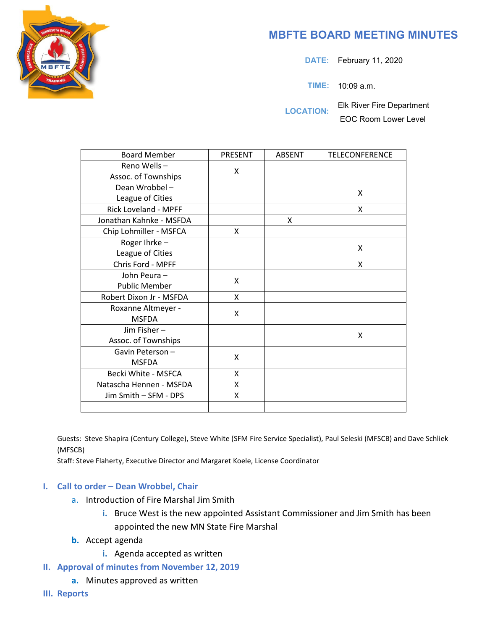## **MBFTE BOARD MEETING MINUTES**

**DATE:** February 11, 2020

**TIME:** 10:09 a.m.

**LOCATION:** Elk River Fire Department EOC Room Lower Level

| <b>Board Member</b>         | PRESENT | <b>ABSENT</b> | <b>TELECONFERENCE</b> |
|-----------------------------|---------|---------------|-----------------------|
| Reno Wells-                 | X       |               |                       |
| Assoc. of Townships         |         |               |                       |
| Dean Wrobbel-               |         |               | X                     |
| League of Cities            |         |               |                       |
| <b>Rick Loveland - MPFF</b> |         |               | X                     |
| Jonathan Kahnke - MSFDA     |         | X             |                       |
| Chip Lohmiller - MSFCA      | X.      |               |                       |
| Roger Ihrke-                |         |               | X                     |
| League of Cities            |         |               |                       |
| Chris Ford - MPFF           |         |               | X                     |
| John Peura-                 | X       |               |                       |
| <b>Public Member</b>        |         |               |                       |
| Robert Dixon Jr - MSFDA     | X       |               |                       |
| Roxanne Altmeyer -          | X       |               |                       |
| <b>MSFDA</b>                |         |               |                       |
| Jim Fisher-                 |         |               | X                     |
| Assoc. of Townships         |         |               |                       |
| Gavin Peterson-             | X       |               |                       |
| <b>MSFDA</b>                |         |               |                       |
| Becki White - MSFCA         | X       |               |                       |
| Natascha Hennen - MSFDA     | X       |               |                       |
| Jim Smith - SFM - DPS       | X       |               |                       |
|                             |         |               |                       |

Guests: Steve Shapira (Century College), Steve White (SFM Fire Service Specialist), Paul Seleski (MFSCB) and Dave Schliek (MFSCB)

Staff: Steve Flaherty, Executive Director and Margaret Koele, License Coordinator

## **I. Call to order – Dean Wrobbel, Chair**

- a. Introduction of Fire Marshal Jim Smith
	- **i.** Bruce West is the new appointed Assistant Commissioner and Jim Smith has been appointed the new MN State Fire Marshal
- **b.** Accept agenda
	- **i.** Agenda accepted as written
- **II. Approval of minutes from November 12, 2019**
	- **a.** Minutes approved as written
- **III. Reports**

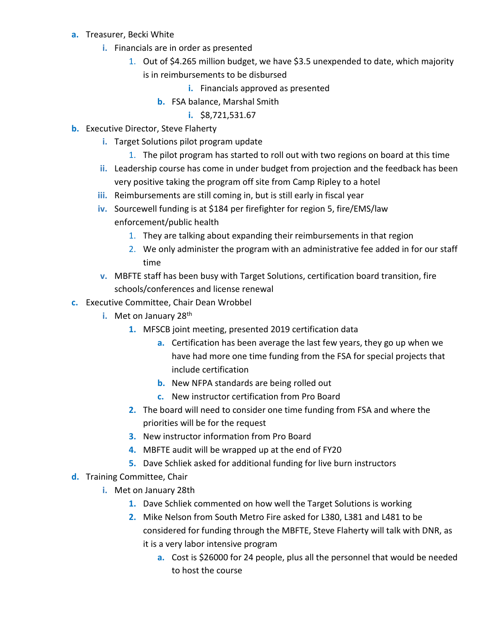- **a.** Treasurer, Becki White
	- **i.** Financials are in order as presented
		- 1. Out of \$4.265 million budget, we have \$3.5 unexpended to date, which majority is in reimbursements to be disbursed
			- **i.** Financials approved as presented
			- **b.** FSA balance, Marshal Smith
				- **i.** \$8,721,531.67
- **b.** Executive Director, Steve Flaherty
	- **i.** Target Solutions pilot program update
		- 1. The pilot program has started to roll out with two regions on board at this time
	- **ii.** Leadership course has come in under budget from projection and the feedback has been very positive taking the program off site from Camp Ripley to a hotel
	- **iii.** Reimbursements are still coming in, but is still early in fiscal year
	- **iv.** Sourcewell funding is at \$184 per firefighter for region 5, fire/EMS/law enforcement/public health
		- 1. They are talking about expanding their reimbursements in that region
		- 2. We only administer the program with an administrative fee added in for our staff time
	- **v.** MBFTE staff has been busy with Target Solutions, certification board transition, fire schools/conferences and license renewal
- **c.** Executive Committee, Chair Dean Wrobbel
	- **i.** Met on January 28<sup>th</sup>
		- **1.** MFSCB joint meeting, presented 2019 certification data
			- **a.** Certification has been average the last few years, they go up when we have had more one time funding from the FSA for special projects that include certification
			- **b.** New NFPA standards are being rolled out
			- **c.** New instructor certification from Pro Board
		- **2.** The board will need to consider one time funding from FSA and where the priorities will be for the request
		- **3.** New instructor information from Pro Board
		- **4.** MBFTE audit will be wrapped up at the end of FY20
		- **5.** Dave Schliek asked for additional funding for live burn instructors
- **d.** Training Committee, Chair
	- **i.** Met on January 28th
		- **1.** Dave Schliek commented on how well the Target Solutions is working
		- **2.** Mike Nelson from South Metro Fire asked for L380, L381 and L481 to be considered for funding through the MBFTE, Steve Flaherty will talk with DNR, as it is a very labor intensive program
			- **a.** Cost is \$26000 for 24 people, plus all the personnel that would be needed to host the course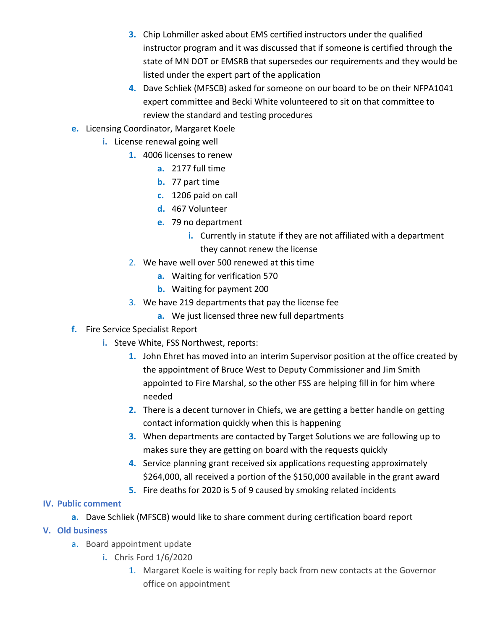- **3.** Chip Lohmiller asked about EMS certified instructors under the qualified instructor program and it was discussed that if someone is certified through the state of MN DOT or EMSRB that supersedes our requirements and they would be listed under the expert part of the application
- **4.** Dave Schliek (MFSCB) asked for someone on our board to be on their NFPA1041 expert committee and Becki White volunteered to sit on that committee to review the standard and testing procedures
- **e.** Licensing Coordinator, Margaret Koele
	- **i.** License renewal going well
		- **1.** 4006 licenses to renew
			- **a.** 2177 full time
			- **b.** 77 part time
			- **c.** 1206 paid on call
			- **d.** 467 Volunteer
			- **e.** 79 no department
				- **i.** Currently in statute if they are not affiliated with a department they cannot renew the license
		- 2. We have well over 500 renewed at this time
			- **a.** Waiting for verification 570
			- **b.** Waiting for payment 200
		- 3. We have 219 departments that pay the license fee
			- **a.** We just licensed three new full departments
- **f.** Fire Service Specialist Report
	- **i.** Steve White, FSS Northwest, reports:
		- **1.** John Ehret has moved into an interim Supervisor position at the office created by the appointment of Bruce West to Deputy Commissioner and Jim Smith appointed to Fire Marshal, so the other FSS are helping fill in for him where needed
		- **2.** There is a decent turnover in Chiefs, we are getting a better handle on getting contact information quickly when this is happening
		- **3.** When departments are contacted by Target Solutions we are following up to makes sure they are getting on board with the requests quickly
		- **4.** Service planning grant received six applications requesting approximately \$264,000, all received a portion of the \$150,000 available in the grant award
		- **5.** Fire deaths for 2020 is 5 of 9 caused by smoking related incidents

## **IV. Public comment**

- **a.** Dave Schliek (MFSCB) would like to share comment during certification board report
- **V. Old business**
	- a. Board appointment update
		- **i.** Chris Ford 1/6/2020
			- 1. Margaret Koele is waiting for reply back from new contacts at the Governor office on appointment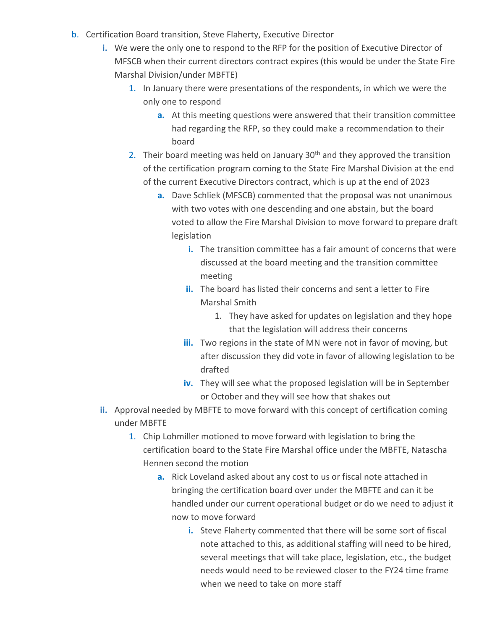- b. Certification Board transition, Steve Flaherty, Executive Director
	- **i.** We were the only one to respond to the RFP for the position of Executive Director of MFSCB when their current directors contract expires (this would be under the State Fire Marshal Division/under MBFTE)
		- 1. In January there were presentations of the respondents, in which we were the only one to respond
			- **a.** At this meeting questions were answered that their transition committee had regarding the RFP, so they could make a recommendation to their board
		- 2. Their board meeting was held on January  $30<sup>th</sup>$  and they approved the transition of the certification program coming to the State Fire Marshal Division at the end of the current Executive Directors contract, which is up at the end of 2023
			- **a.** Dave Schliek (MFSCB) commented that the proposal was not unanimous with two votes with one descending and one abstain, but the board voted to allow the Fire Marshal Division to move forward to prepare draft legislation
				- **i.** The transition committee has a fair amount of concerns that were discussed at the board meeting and the transition committee meeting
				- **ii.** The board has listed their concerns and sent a letter to Fire Marshal Smith
					- 1. They have asked for updates on legislation and they hope that the legislation will address their concerns
				- **iii.** Two regions in the state of MN were not in favor of moving, but after discussion they did vote in favor of allowing legislation to be drafted
				- **iv.** They will see what the proposed legislation will be in September or October and they will see how that shakes out
	- **ii.** Approval needed by MBFTE to move forward with this concept of certification coming under MBFTE
		- 1. Chip Lohmiller motioned to move forward with legislation to bring the certification board to the State Fire Marshal office under the MBFTE, Natascha Hennen second the motion
			- **a.** Rick Loveland asked about any cost to us or fiscal note attached in bringing the certification board over under the MBFTE and can it be handled under our current operational budget or do we need to adjust it now to move forward
				- **i.** Steve Flaherty commented that there will be some sort of fiscal note attached to this, as additional staffing will need to be hired, several meetings that will take place, legislation, etc., the budget needs would need to be reviewed closer to the FY24 time frame when we need to take on more staff